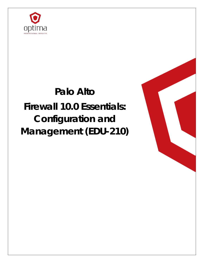

# **Palo Alto Firewall 10.0 Essentials: Configuration and Management (EDU-210)**

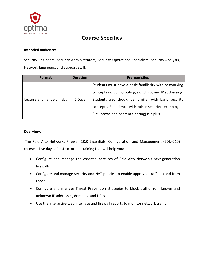

# **Course Specifics**

## **Intended audience:**

Security Engineers, Security Administrators, Security Operations Specialists, Security Analysts, Network Engineers, and Support Staff.

| <b>Format</b>             | <b>Duration</b> | <b>Prerequisites</b>                                      |
|---------------------------|-----------------|-----------------------------------------------------------|
| Lecture and hands-on labs | 5 Days          | Students must have a basic familiarity with networking    |
|                           |                 | concepts including routing, switching, and IP addressing. |
|                           |                 | Students also should be familiar with basic security      |
|                           |                 | concepts. Experience with other security technologies     |
|                           |                 | (IPS, proxy, and content filtering) is a plus.            |

#### **Overview:**

The Palo Alto Networks Firewall 10.0 Essentials: Configuration and Management (EDU-210) course is five days of instructor-led training that will help you:

- Configure and manage the essential features of Palo Alto Networks next-generation firewalls
- Configure and manage Security and NAT policies to enable approved traffic to and from zones
- Configure and manage Threat Prevention strategies to block traffic from known and unknown IP addresses, domains, and URLs
- Use the interactive web interface and firewall reports to monitor network traffic